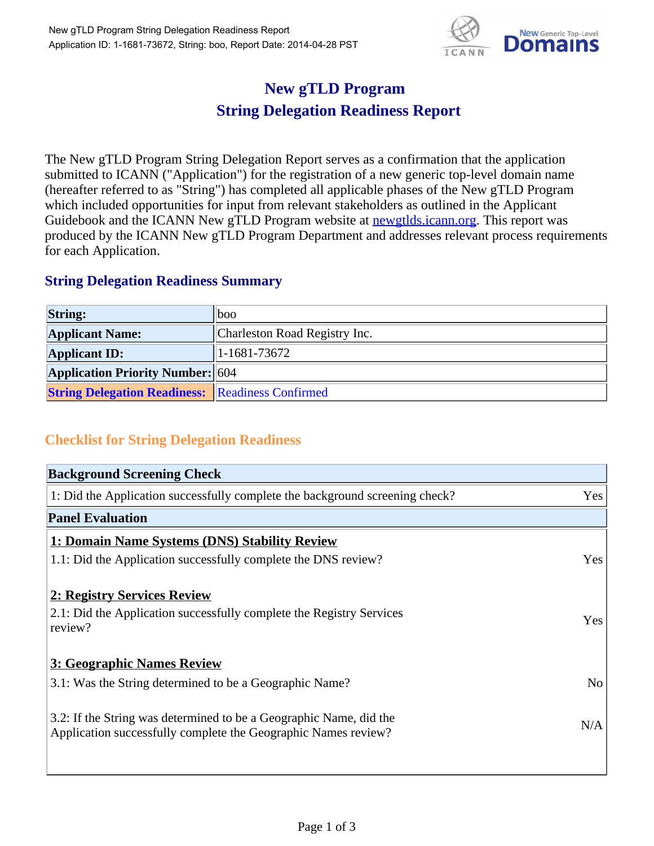

## **New gTLD Program String Delegation Readiness Report**

The New gTLD Program String Delegation Report serves as a confirmation that the application submitted to ICANN ("Application") for the registration of a new generic top-level domain name (hereafter referred to as "String") has completed all applicable phases of the New gTLD Program which included opportunities for input from relevant stakeholders as outlined in the Applicant Guidebook and the ICANN New gTLD Program website at newgtlds.icann.org. This report was produced by the ICANN New gTLD Program Department and addresses relevant process requirements for each Application.

## **String Delegation Readiness Summary**

| <b>String:</b>                                          | 1000                          |
|---------------------------------------------------------|-------------------------------|
| <b>Applicant Name:</b>                                  | Charleston Road Registry Inc. |
| <b>Applicant ID:</b>                                    | $ 1-1681-73672 $              |
| <b>Application Priority Number: 604</b>                 |                               |
| <b>String Delegation Readiness:</b> Readiness Confirmed |                               |

## **Checklist for String Delegation Readiness**

| <b>Background Screening Check</b>                                               |                |  |
|---------------------------------------------------------------------------------|----------------|--|
| 1: Did the Application successfully complete the background screening check?    | Yes            |  |
| <b>Panel Evaluation</b>                                                         |                |  |
| 1: Domain Name Systems (DNS) Stability Review                                   |                |  |
| 1.1: Did the Application successfully complete the DNS review?                  | Yes            |  |
| 2: Registry Services Review                                                     |                |  |
|                                                                                 |                |  |
| 2.1: Did the Application successfully complete the Registry Services<br>review? | <b>Yes</b>     |  |
|                                                                                 |                |  |
| 3: Geographic Names Review                                                      |                |  |
| 3.1: Was the String determined to be a Geographic Name?                         | N <sub>0</sub> |  |
| 3.2: If the String was determined to be a Geographic Name, did the              |                |  |
| Application successfully complete the Geographic Names review?                  | N/A            |  |
|                                                                                 |                |  |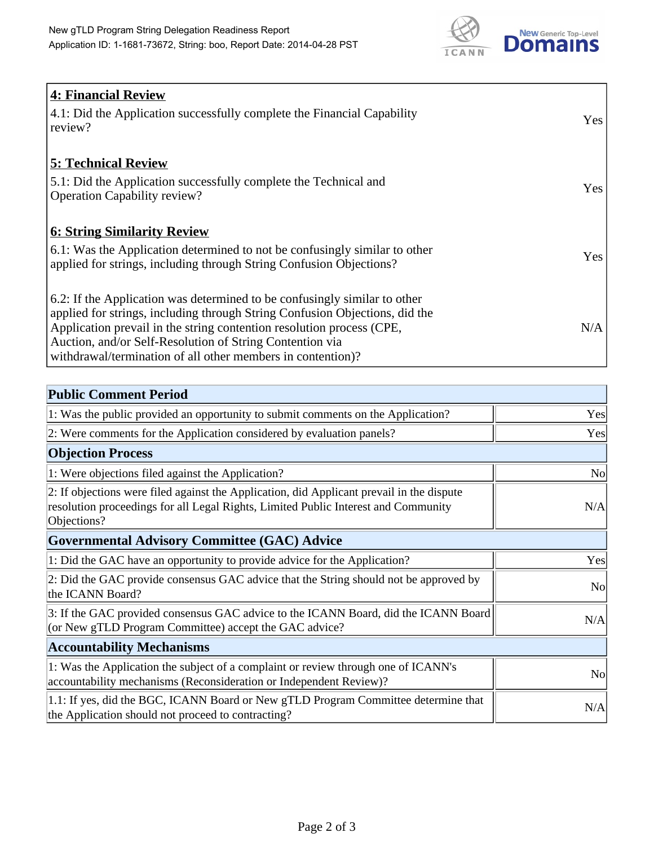

| <b>4: Financial Review</b><br>4.1: Did the Application successfully complete the Financial Capability<br>review?                                                                                                                                                                                                                                             | Yes |
|--------------------------------------------------------------------------------------------------------------------------------------------------------------------------------------------------------------------------------------------------------------------------------------------------------------------------------------------------------------|-----|
| <b>5: Technical Review</b><br>5.1: Did the Application successfully complete the Technical and<br><b>Operation Capability review?</b>                                                                                                                                                                                                                        | Yes |
| <b>6: String Similarity Review</b><br>6.1: Was the Application determined to not be confusingly similar to other<br>applied for strings, including through String Confusion Objections?                                                                                                                                                                      | Yes |
| 6.2: If the Application was determined to be confusingly similar to other<br>applied for strings, including through String Confusion Objections, did the<br>Application prevail in the string contention resolution process (CPE,<br>Auction, and/or Self-Resolution of String Contention via<br>withdrawal/termination of all other members in contention)? | N/A |

| <b>Public Comment Period</b>                                                                                                                                                                   |                |
|------------------------------------------------------------------------------------------------------------------------------------------------------------------------------------------------|----------------|
| 1: Was the public provided an opportunity to submit comments on the Application?                                                                                                               | Yes            |
| 2: Were comments for the Application considered by evaluation panels?                                                                                                                          | Yes            |
| <b>Objection Process</b>                                                                                                                                                                       |                |
| 1: Were objections filed against the Application?                                                                                                                                              | <b>No</b>      |
| 2: If objections were filed against the Application, did Applicant prevail in the dispute<br>resolution proceedings for all Legal Rights, Limited Public Interest and Community<br>Objections? | N/A            |
| <b>Governmental Advisory Committee (GAC) Advice</b>                                                                                                                                            |                |
| 1: Did the GAC have an opportunity to provide advice for the Application?                                                                                                                      | Yes            |
| 2: Did the GAC provide consensus GAC advice that the String should not be approved by<br>the ICANN Board?                                                                                      | N <sub>0</sub> |
| 3: If the GAC provided consensus GAC advice to the ICANN Board, did the ICANN Board<br>(or New gTLD Program Committee) accept the GAC advice?                                                  | N/A            |
| <b>Accountability Mechanisms</b>                                                                                                                                                               |                |
| 1: Was the Application the subject of a complaint or review through one of ICANN's<br>accountability mechanisms (Reconsideration or Independent Review)?                                       | N <sub>0</sub> |
| 1.1: If yes, did the BGC, ICANN Board or New gTLD Program Committee determine that<br>the Application should not proceed to contracting?                                                       | N/A            |